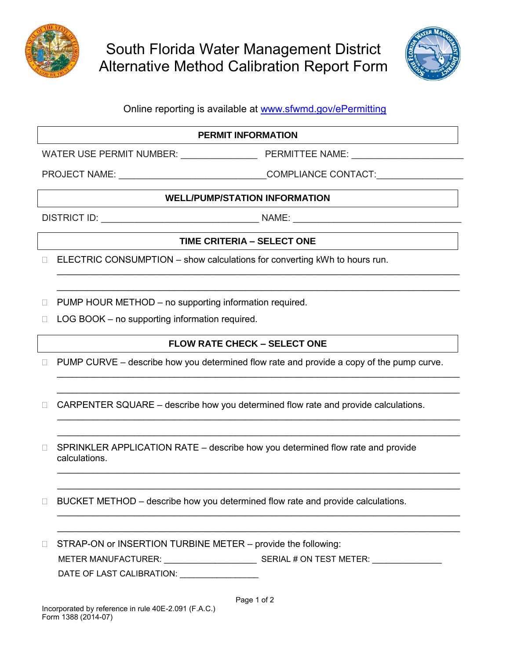

South Florida Water Management District Alternative Method Calibration Report Form



## Online reporting is available at [www.sfwmd.gov/ePermitting](http://www.sfwmd.gov/ePermitting)

#### **PERMIT INFORMATION**

WATER USE PERMIT NUMBER: \_\_\_\_\_\_\_\_\_\_\_\_\_\_\_\_\_\_\_\_\_\_\_ PERMITTEE NAME: \_\_\_\_\_\_\_\_\_\_\_\_\_\_\_

PROJECT NAME: \_\_\_\_\_\_\_\_\_\_\_\_\_\_\_\_\_\_\_\_\_\_\_\_\_\_\_\_\_COMPLIANCE CONTACT:\_\_\_\_\_\_\_\_\_\_\_\_\_\_\_\_\_

#### **WELL/PUMP/STATION INFORMATION**

DISTRICT ID: \_\_\_\_\_\_\_\_\_\_\_\_\_\_\_\_\_\_\_\_\_\_\_\_\_\_\_\_\_\_\_ NAME: \_\_\_\_\_\_\_\_\_\_\_\_\_\_\_\_\_\_\_\_\_\_\_\_\_\_\_\_\_\_\_\_\_

### **TIME CRITERIA – SELECT ONE**

\_\_\_\_\_\_\_\_\_\_\_\_\_\_\_\_\_\_\_\_\_\_\_\_\_\_\_\_\_\_\_\_\_\_\_\_\_\_\_\_\_\_\_\_\_\_\_\_\_\_\_\_\_\_\_\_\_\_\_\_\_\_\_\_\_\_\_\_\_\_\_\_\_\_\_\_\_\_\_ \_\_\_\_\_\_\_\_\_\_\_\_\_\_\_\_\_\_\_\_\_\_\_\_\_\_\_\_\_\_\_\_\_\_\_\_\_\_\_\_\_\_\_\_\_\_\_\_\_\_\_\_\_\_\_\_\_\_\_\_\_\_\_\_\_\_\_\_\_\_\_\_\_\_\_\_\_\_\_

 $\Box$  ELECTRIC CONSUMPTION – show calculations for converting kWh to hours run.

 $\Box$  PUMP HOUR METHOD – no supporting information required.

 $\Box$  LOG BOOK – no supporting information required.

## **FLOW RATE CHECK – SELECT ONE**

\_\_\_\_\_\_\_\_\_\_\_\_\_\_\_\_\_\_\_\_\_\_\_\_\_\_\_\_\_\_\_\_\_\_\_\_\_\_\_\_\_\_\_\_\_\_\_\_\_\_\_\_\_\_\_\_\_\_\_\_\_\_\_\_\_\_\_\_\_\_\_\_\_\_\_\_\_\_\_ \_\_\_\_\_\_\_\_\_\_\_\_\_\_\_\_\_\_\_\_\_\_\_\_\_\_\_\_\_\_\_\_\_\_\_\_\_\_\_\_\_\_\_\_\_\_\_\_\_\_\_\_\_\_\_\_\_\_\_\_\_\_\_\_\_\_\_\_\_\_\_\_\_\_\_\_\_\_\_

 \_\_\_\_\_\_\_\_\_\_\_\_\_\_\_\_\_\_\_\_\_\_\_\_\_\_\_\_\_\_\_\_\_\_\_\_\_\_\_\_\_\_\_\_\_\_\_\_\_\_\_\_\_\_\_\_\_\_\_\_\_\_\_\_\_\_\_\_\_\_\_\_\_\_\_\_\_\_\_ \_\_\_\_\_\_\_\_\_\_\_\_\_\_\_\_\_\_\_\_\_\_\_\_\_\_\_\_\_\_\_\_\_\_\_\_\_\_\_\_\_\_\_\_\_\_\_\_\_\_\_\_\_\_\_\_\_\_\_\_\_\_\_\_\_\_\_\_\_\_\_\_\_\_\_\_\_\_\_

 \_\_\_\_\_\_\_\_\_\_\_\_\_\_\_\_\_\_\_\_\_\_\_\_\_\_\_\_\_\_\_\_\_\_\_\_\_\_\_\_\_\_\_\_\_\_\_\_\_\_\_\_\_\_\_\_\_\_\_\_\_\_\_\_\_\_\_\_\_\_\_\_\_\_\_\_\_\_\_ \_\_\_\_\_\_\_\_\_\_\_\_\_\_\_\_\_\_\_\_\_\_\_\_\_\_\_\_\_\_\_\_\_\_\_\_\_\_\_\_\_\_\_\_\_\_\_\_\_\_\_\_\_\_\_\_\_\_\_\_\_\_\_\_\_\_\_\_\_\_\_\_\_\_\_\_\_\_\_

 \_\_\_\_\_\_\_\_\_\_\_\_\_\_\_\_\_\_\_\_\_\_\_\_\_\_\_\_\_\_\_\_\_\_\_\_\_\_\_\_\_\_\_\_\_\_\_\_\_\_\_\_\_\_\_\_\_\_\_\_\_\_\_\_\_\_\_\_\_\_\_\_\_\_\_\_\_\_\_ \_\_\_\_\_\_\_\_\_\_\_\_\_\_\_\_\_\_\_\_\_\_\_\_\_\_\_\_\_\_\_\_\_\_\_\_\_\_\_\_\_\_\_\_\_\_\_\_\_\_\_\_\_\_\_\_\_\_\_\_\_\_\_\_\_\_\_\_\_\_\_\_\_\_\_\_\_\_\_

 $\Box$  PUMP CURVE – describe how you determined flow rate and provide a copy of the pump curve.

 $\Box$  CARPENTER SQUARE – describe how you determined flow rate and provide calculations.

□ SPRINKLER APPLICATION RATE – describe how you determined flow rate and provide calculations.

 $\Box$  BUCKET METHOD – describe how you determined flow rate and provide calculations.

□ STRAP-ON or INSERTION TURBINE METER – provide the following: METER MANUFACTURER: \_\_\_\_\_\_\_\_\_\_\_\_\_\_\_\_\_\_\_\_ SERIAL # ON TEST METER: \_\_\_\_\_\_\_\_\_\_\_\_\_\_\_ DATE OF LAST CALIBRATION: